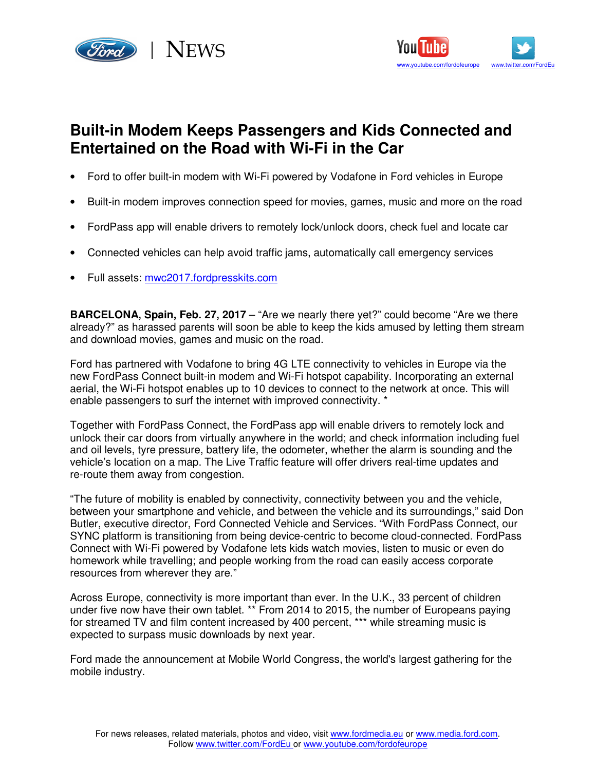



## **Built-in Modem Keeps Passengers and Kids Connected and Entertained on the Road with Wi-Fi in the Car**

- Ford to offer built-in modem with Wi-Fi powered by Vodafone in Ford vehicles in Europe
- Built-in modem improves connection speed for movies, games, music and more on the road
- FordPass app will enable drivers to remotely lock/unlock doors, check fuel and locate car
- Connected vehicles can help avoid traffic jams, automatically call emergency services
- Full assets: mwc2017.fordpresskits.com

**BARCELONA, Spain, Feb. 27, 2017** – "Are we nearly there yet?" could become "Are we there already?" as harassed parents will soon be able to keep the kids amused by letting them stream and download movies, games and music on the road.

Ford has partnered with Vodafone to bring 4G LTE connectivity to vehicles in Europe via the new FordPass Connect built-in modem and Wi-Fi hotspot capability. Incorporating an external aerial, the Wi-Fi hotspot enables up to 10 devices to connect to the network at once. This will enable passengers to surf the internet with improved connectivity. \*

Together with FordPass Connect, the FordPass app will enable drivers to remotely lock and unlock their car doors from virtually anywhere in the world; and check information including fuel and oil levels, tyre pressure, battery life, the odometer, whether the alarm is sounding and the vehicle's location on a map. The Live Traffic feature will offer drivers real-time updates and re-route them away from congestion.

"The future of mobility is enabled by connectivity, connectivity between you and the vehicle, between your smartphone and vehicle, and between the vehicle and its surroundings," said Don Butler, executive director, Ford Connected Vehicle and Services. "With FordPass Connect, our SYNC platform is transitioning from being device-centric to become cloud-connected. FordPass Connect with Wi-Fi powered by Vodafone lets kids watch movies, listen to music or even do homework while travelling; and people working from the road can easily access corporate resources from wherever they are."

Across Europe, connectivity is more important than ever. In the U.K., 33 percent of children under five now have their own tablet. \*\* From 2014 to 2015, the number of Europeans paying for streamed TV and film content increased by 400 percent, \*\*\* while streaming music is expected to surpass music downloads by next year.

Ford made the announcement at Mobile World Congress, the world's largest gathering for the mobile industry.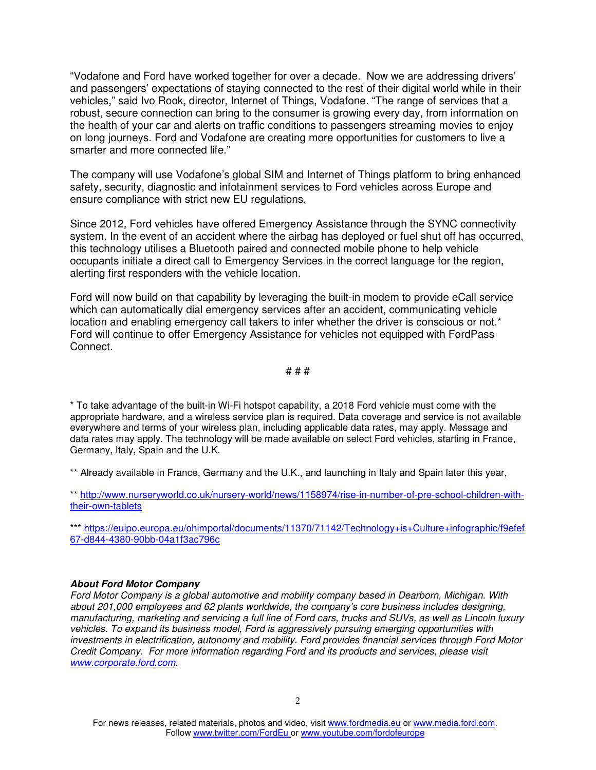"Vodafone and Ford have worked together for over a decade. Now we are addressing drivers' and passengers' expectations of staying connected to the rest of their digital world while in their vehicles," said Ivo Rook, director, Internet of Things, Vodafone. "The range of services that a robust, secure connection can bring to the consumer is growing every day, from information on the health of your car and alerts on traffic conditions to passengers streaming movies to enjoy on long journeys. Ford and Vodafone are creating more opportunities for customers to live a smarter and more connected life."

The company will use Vodafone's global SIM and Internet of Things platform to bring enhanced safety, security, diagnostic and infotainment services to Ford vehicles across Europe and ensure compliance with strict new EU regulations.

Since 2012, Ford vehicles have offered Emergency Assistance through the SYNC connectivity system. In the event of an accident where the airbag has deployed or fuel shut off has occurred, this technology utilises a Bluetooth paired and connected mobile phone to help vehicle occupants initiate a direct call to Emergency Services in the correct language for the region, alerting first responders with the vehicle location.

Ford will now build on that capability by leveraging the built-in modem to provide eCall service which can automatically dial emergency services after an accident, communicating vehicle location and enabling emergency call takers to infer whether the driver is conscious or not.<sup>\*</sup> Ford will continue to offer Emergency Assistance for vehicles not equipped with FordPass Connect.

## # # #

\* To take advantage of the built-in Wi-Fi hotspot capability, a 2018 Ford vehicle must come with the appropriate hardware, and a wireless service plan is required. Data coverage and service is not available everywhere and terms of your wireless plan, including applicable data rates, may apply. Message and data rates may apply. The technology will be made available on select Ford vehicles, starting in France, Germany, Italy, Spain and the U.K.

\*\* Already available in France, Germany and the U.K., and launching in Italy and Spain later this year,

\*\* http://www.nurseryworld.co.uk/nursery-world/news/1158974/rise-in-number-of-pre-school-children-withtheir-own-tablets

\*\*\* https://euipo.europa.eu/ohimportal/documents/11370/71142/Technology+is+Culture+infographic/f9efef 67-d844-4380-90bb-04a1f3ac796c

## **About Ford Motor Company**

Ford Motor Company is a global automotive and mobility company based in Dearborn, Michigan. With about 201,000 employees and 62 plants worldwide, the company's core business includes designing, manufacturing, marketing and servicing a full line of Ford cars, trucks and SUVs, as well as Lincoln luxury vehicles. To expand its business model, Ford is aggressively pursuing emerging opportunities with investments in electrification, autonomy and mobility. Ford provides financial services through Ford Motor Credit Company. For more information regarding Ford and its products and services, please visit www.corporate.ford.com.